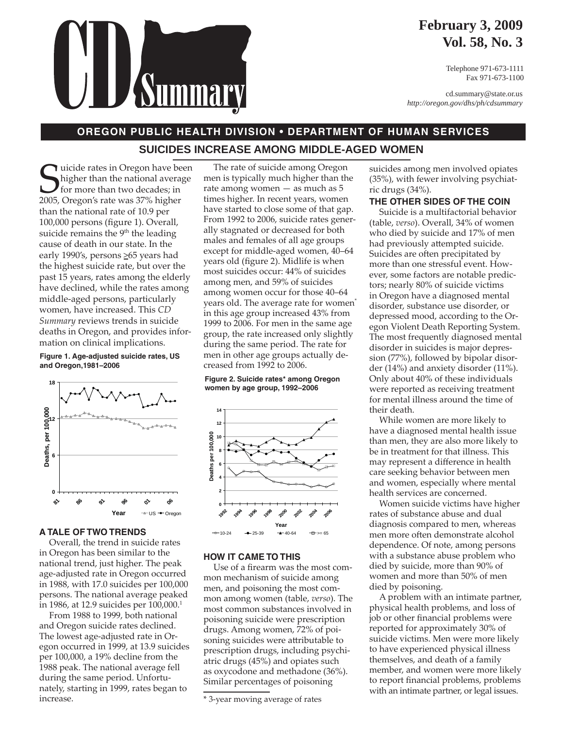

## **February 3, 2009 Vol. 58, No. 3**

Telephone 971-673-1111 Fax 971-673-1100

cd.summary@state.or.us *http://oregon.gov/dhs/ph/cdsummary*

## **OREGON PUBLIC HEALTH DIVISION • DEPARTMENT OF HUMAN SERVICES SUICIDES INCREASE AMONG MIDDLE-AGED WOMEN**

Guicide rates in Oregon have be<br>higher than the national average<br>2005, Oregon's rate was 37% higher luicide rates in Oregon have been higher than the national average for more than two decades; in than the national rate of 10.9 per 100,000 persons (figure 1). Overall, suicide remains the  $9<sup>th</sup>$  the leading cause of death in our state. In the early 1990's, persons  $\geq 65$  years had the highest suicide rate, but over the past 15 years, rates among the elderly have declined, while the rates among middle-aged persons, particularly women, have increased. This *CD Summary* reviews trends in suicide deaths in Oregon, and provides information on clinical implications.

**Figure 1. Age-adjusted suicide rates, US and Oregon,1981–2006**



#### **A TALE OF TWO TRENDS**

Overall, the trend in suicide rates in Oregon has been similar to the national trend, just higher. The peak age-adjusted rate in Oregon occurred in 1988, with 17.0 suicides per 100,000 persons. The national average peaked in 1986, at 12.9 suicides per 100,000.<sup>1</sup>

From 1988 to 1999, both national and Oregon suicide rates declined. The lowest age-adjusted rate in Oregon occurred in 1999, at 13.9 suicides per 100,000, a 19% decline from the 1988 peak. The national average fell during the same period. Unfortunately, starting in 1999, rates began to increase.

The rate of suicide among Oregon men is typically much higher than the rate among women — as much as 5 times higher. In recent years, women have started to close some of that gap. From 1992 to 2006, suicide rates generally stagnated or decreased for both males and females of all age groups except for middle-aged women, 40–64 years old (figure 2). Midlife is when most suicides occur: 44% of suicides among men, and 59% of suicides among women occur for those 40–64 years old. The average rate for women<sup>\*</sup> in this age group increased 43% from 1999 to 2006. For men in the same age group, the rate increased only slightly during the same period. The rate for men in other age groups actually decreased from 1992 to 2006.

**Figure 2. Suicide rates\* among Oregon women by age group, 1992–2006**



### **HOW IT CAME TO THIS**

Use of a firearm was the most common mechanism of suicide among men, and poisoning the most common among women (table, *verso*). The most common substances involved in poisoning suicide were prescription drugs. Among women, 72% of poisoning suicides were attributable to prescription drugs, including psychiatric drugs (45%) and opiates such as oxycodone and methadone (36%). Similar percentages of poisoning

suicides among men involved opiates (35%), with fewer involving psychiatric drugs (34%).

#### **THE OTHER SIDES OF THE COIN**

Suicide is a multifactorial behavior (table, *verso*). Overall, 34% of women who died by suicide and 17% of men had previously attempted suicide. Suicides are often precipitated by more than one stressful event. However, some factors are notable predictors; nearly 80% of suicide victims in Oregon have a diagnosed mental disorder, substance use disorder, or depressed mood, according to the Oregon Violent Death Reporting System. The most frequently diagnosed mental disorder in suicides is major depression (77%), followed by bipolar disorder (14%) and anxiety disorder (11%). Only about 40% of these individuals were reported as receiving treatment for mental illness around the time of their death.

While women are more likely to have a diagnosed mental health issue than men, they are also more likely to be in treatment for that illness. This may represent a difference in health care seeking behavior between men and women, especially where mental health services are concerned.

Women suicide victims have higher rates of substance abuse and dual diagnosis compared to men, whereas men more often demonstrate alcohol dependence. Of note, among persons with a substance abuse problem who died by suicide, more than 90% of women and more than 50% of men died by poisoning.

A problem with an intimate partner, physical health problems, and loss of job or other financial problems were reported for approximately 30% of suicide victims. Men were more likely to have experienced physical illness themselves, and death of a family member, and women were more likely to report financial problems, problems with an intimate partner, or legal issues.

<sup>\* 3-</sup>year moving average of rates